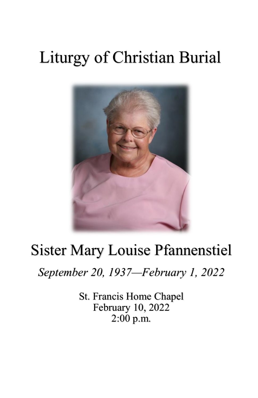# Liturgy of Christian Burial



# Sister Mary Louise Pfannenstiel

*September 20, 1937—February 1, 2022*

St. Francis Home Chapel February 10, 2022 2:00 p.m.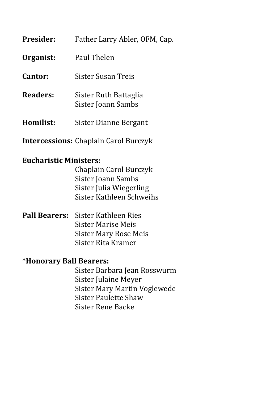| <b>Presider:</b> | Father Larry Abler, OFM, Cap.               |
|------------------|---------------------------------------------|
| Organist:        | Paul Thelen                                 |
| Cantor:          | Sister Susan Treis                          |
| Readers:         | Sister Ruth Battaglia<br>Sister Joann Sambs |
| Homilist:        | Sister Dianne Bergant                       |
|                  |                                             |

**Intercessions:** Chaplain Carol Burczyk

# **Eucharistic Ministers:**

 Chaplain Carol Burczyk Sister Joann Sambs Sister Julia Wiegerling Sister Kathleen Schweihs

**Pall Bearers:** Sister Kathleen Ries Sister Marise Meis Sister Mary Rose Meis Sister Rita Kramer

#### **\*Honorary Ball Bearers:**

Sister Barbara Jean Rosswurm Sister Julaine Meyer Sister Mary Martin Voglewede Sister Paulette Shaw Sister Rene Backe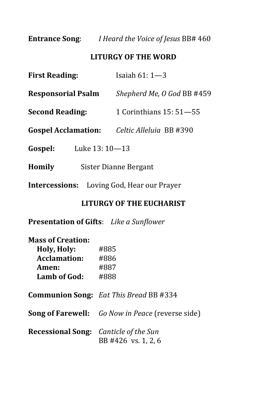**Entrance Song**: *I Heard the Voice of Jesus* BB# 460

# **LITURGY OF THE WORD**

| <b>First Reading:</b>                             | Isaiah $61:1-3$            |  |
|---------------------------------------------------|----------------------------|--|
| <b>Responsorial Psalm</b>                         | Shepherd Me, O God BB #459 |  |
| <b>Second Reading:</b>                            | 1 Corinthians 15: 51–55    |  |
| <b>Gospel Acclamation:</b>                        | Celtic Alleluia BB #390    |  |
| Gospel:<br>Luke 13: 10-13                         |                            |  |
| Homily                                            | Sister Dianne Bergant      |  |
| <b>Intercessions:</b> Loving God, Hear our Prayer |                            |  |

# **LITURGY OF THE EUCHARIST**

**Presentation of Gifts**: *Like a Sunflower*

| <b>Mass of Creation:</b>                            |                                                         |
|-----------------------------------------------------|---------------------------------------------------------|
| Holy, Holy:                                         | #885                                                    |
| Acclamation:                                        | #886                                                    |
| Amen:                                               | #887                                                    |
| Lamb of God:                                        | #888                                                    |
|                                                     | <b>Communion Song:</b> Eat This Bread BB #334           |
|                                                     | <b>Song of Farewell:</b> Go Now in Peace (reverse side) |
| <b>Recessional Song:</b> <i>Canticle of the Sun</i> | BB #426 vs. 1, 2, 6                                     |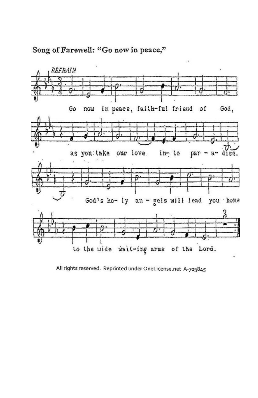

# Song of Farewell: "Go now in peace,"

2 to the wide wait-ing arms of the Lord.

an - gels will lead

you home

God's ho- ly

All rights reserved. Reprinted under OneLicense.net A-703845